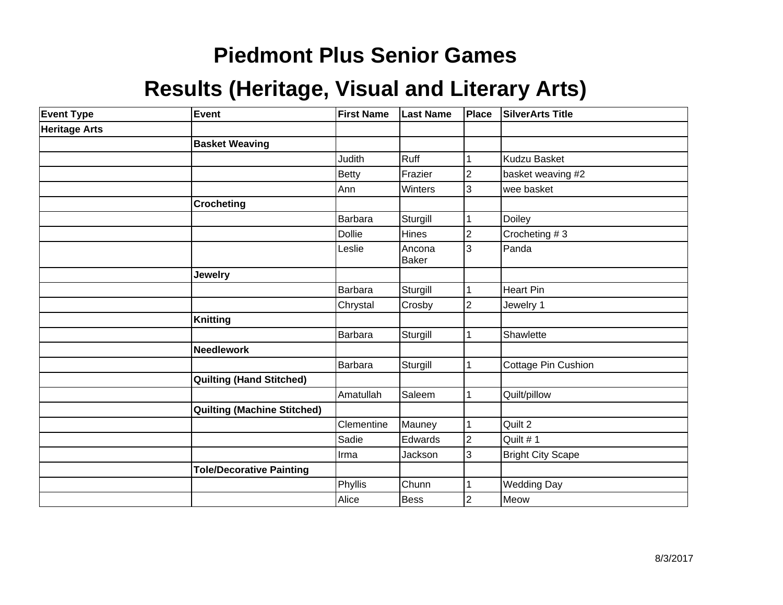# **Piedmont Plus Senior Games**

#### **Results (Heritage, Visual and Literary Arts)**

| <b>Event Type</b>    | Event                              | <b>First Name</b> | <b>Last Name</b>       | Place          | <b>SilverArts Title</b> |
|----------------------|------------------------------------|-------------------|------------------------|----------------|-------------------------|
| <b>Heritage Arts</b> |                                    |                   |                        |                |                         |
|                      | <b>Basket Weaving</b>              |                   |                        |                |                         |
|                      |                                    | <b>Judith</b>     | <b>Ruff</b>            | 1              | Kudzu Basket            |
|                      |                                    | Betty             | Frazier                | $\overline{2}$ | basket weaving #2       |
|                      |                                    | Ann               | Winters                | 3              | wee basket              |
|                      | <b>Crocheting</b>                  |                   |                        |                |                         |
|                      |                                    | <b>Barbara</b>    | Sturgill               | 1              | Doiley                  |
|                      |                                    | <b>Dollie</b>     | Hines                  | $\overline{2}$ | Crocheting #3           |
|                      |                                    | Leslie            | Ancona<br><b>Baker</b> | 3              | Panda                   |
|                      | <b>Jewelry</b>                     |                   |                        |                |                         |
|                      |                                    | Barbara           | Sturgill               | 1              | Heart Pin               |
|                      |                                    | Chrystal          | Crosby                 | $\overline{2}$ | Jewelry 1               |
|                      | <b>Knitting</b>                    |                   |                        |                |                         |
|                      |                                    | Barbara           | Sturgill               | 1              | Shawlette               |
|                      | <b>Needlework</b>                  |                   |                        |                |                         |
|                      |                                    | Barbara           | Sturgill               | $\mathbf 1$    | Cottage Pin Cushion     |
|                      | <b>Quilting (Hand Stitched)</b>    |                   |                        |                |                         |
|                      |                                    | Amatullah         | Saleem                 | 1              | Quilt/pillow            |
|                      | <b>Quilting (Machine Stitched)</b> |                   |                        |                |                         |
|                      |                                    | Clementine        | Mauney                 | 1              | Quilt 2                 |
|                      |                                    | Sadie             | Edwards                | $\overline{2}$ | Quilt #1                |
|                      |                                    | Irma              | Jackson                | 3              | Bright City Scape       |
|                      | <b>Tole/Decorative Painting</b>    |                   |                        |                |                         |
|                      |                                    | Phyllis           | Chunn                  | 1              | <b>Wedding Day</b>      |
|                      |                                    | Alice             | Bess                   | $\overline{2}$ | Meow                    |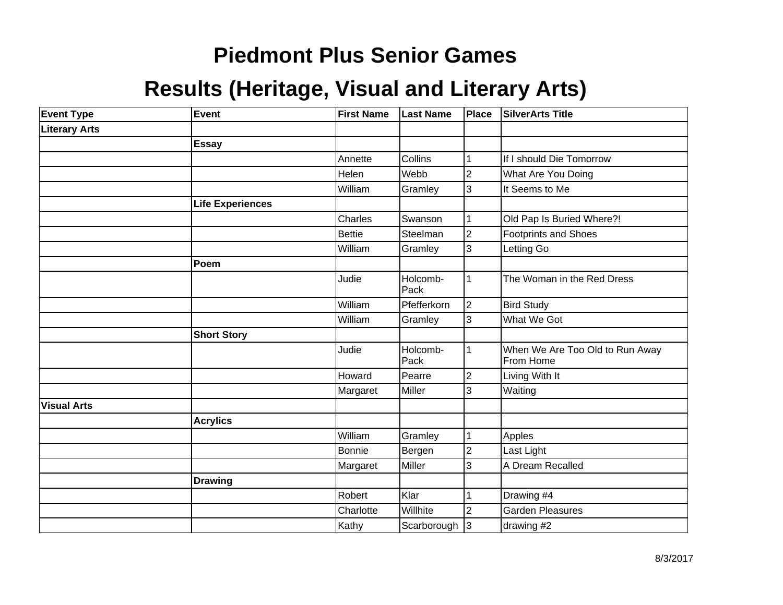# **Piedmont Plus Senior Games**

#### **Results (Heritage, Visual and Literary Arts)**

| <b>Event Type</b>    | Event                   | <b>First Name</b> | <b>Last Name</b> | <b>Place</b>            | <b>SilverArts Title</b>                      |
|----------------------|-------------------------|-------------------|------------------|-------------------------|----------------------------------------------|
| <b>Literary Arts</b> |                         |                   |                  |                         |                                              |
|                      | <b>Essay</b>            |                   |                  |                         |                                              |
|                      |                         | Annette           | Collins          |                         | If I should Die Tomorrow                     |
|                      |                         | Helen             | Webb             | $\overline{c}$          | What Are You Doing                           |
|                      |                         | William           | Gramley          | 3                       | It Seems to Me                               |
|                      | <b>Life Experiences</b> |                   |                  |                         |                                              |
|                      |                         | Charles           | Swanson          |                         | Old Pap Is Buried Where?!                    |
|                      |                         | <b>Bettie</b>     | Steelman         | $\overline{c}$          | <b>Footprints and Shoes</b>                  |
|                      |                         | William           | Gramley          | 3                       | Letting Go                                   |
|                      | <b>Poem</b>             |                   |                  |                         |                                              |
|                      |                         | Judie             | Holcomb-<br>Pack | 1                       | The Woman in the Red Dress                   |
|                      |                         | William           | Pfefferkorn      | 2                       | <b>Bird Study</b>                            |
|                      |                         | William           | Gramley          | 3                       | What We Got                                  |
|                      | <b>Short Story</b>      |                   |                  |                         |                                              |
|                      |                         | Judie             | Holcomb-<br>Pack |                         | When We Are Too Old to Run Away<br>From Home |
|                      |                         | Howard            | Pearre           | $\overline{\mathbf{c}}$ | Living With It                               |
|                      |                         | Margaret          | Miller           | 3                       | Waiting                                      |
| <b>Visual Arts</b>   |                         |                   |                  |                         |                                              |
|                      | <b>Acrylics</b>         |                   |                  |                         |                                              |
|                      |                         | William           | Gramley          |                         | Apples                                       |
|                      |                         | <b>Bonnie</b>     | Bergen           | $\overline{c}$          | Last Light                                   |
|                      |                         | Margaret          | Miller           | 3                       | A Dream Recalled                             |
|                      | <b>Drawing</b>          |                   |                  |                         |                                              |
|                      |                         | Robert            | Klar             |                         | Drawing #4                                   |
|                      |                         | Charlotte         | Willhite         | $\overline{2}$          | <b>Garden Pleasures</b>                      |
|                      |                         | Kathy             | Scarborough      | $\mathsf{I}3$           | drawing #2                                   |